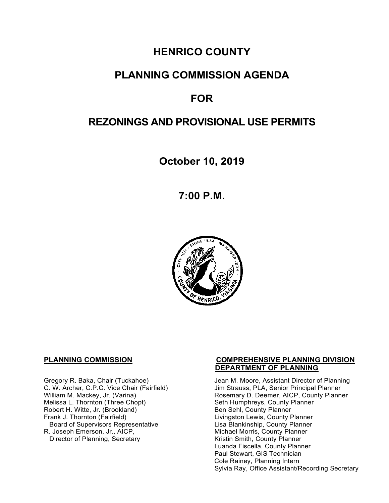# **HENRICO COUNTY**

## **PLANNING COMMISSION AGENDA**

# **FOR**

# **REZONINGS AND PROVISIONAL USE PERMITS**

**October 10, 2019**

**7:00 P.M.**



Melissa L. Thornton (Three Chopt) Seth Humphreys, County F<br>
Robert H. Witte, Jr. (Brookland) Seth Sen Sehl, County Planner Robert H. Witte, Jr. (Brookland)<br>Frank J. Thornton (Fairfield) Board of Supervisors Representative Lisa Blankinship, County Planner<br>R. Joseph Emerson, Jr., AICP, Michael Morris, County Planner Director of Planning, Secretary

#### **PLANNING COMMISSION COMPREHENSIVE PLANNING DIVISION DEPARTMENT OF PLANNING**

Gregory R. Baka, Chair (Tuckahoe) Jean M. Moore, Assistant Director of Planning<br>C. W. Archer, C.P.C. Vice Chair (Fairfield) Jim Strauss, PLA, Senior Principal Planner C. W. Archer, C.P.C. Vice Chair (Fairfield) Jim Strauss, PLA, Senior Principal Planner<br>William M. Mackey, Jr. (Varina) Sand Chair Rosemary D. Deemer, AICP, County Plann Rosemary D. Deemer, AICP, County Planner<br>Seth Humphreys, County Planner Livingston Lewis, County Planner Michael Morris, County Planner<br>Kristin Smith, County Planner Luanda Fiscella, County Planner Paul Stewart, GIS Technician Cole Rainey, Planning Intern Sylvia Ray, Office Assistant/Recording Secretary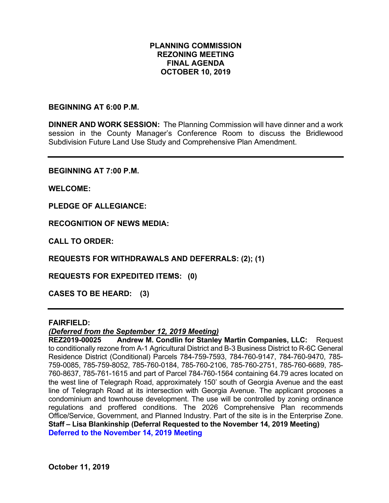#### **PLANNING COMMISSION REZONING MEETING FINAL AGENDA OCTOBER 10, 2019**

#### **BEGINNING AT 6:00 P.M.**

**DINNER AND WORK SESSION:** The Planning Commission will have dinner and a work session in the County Manager's Conference Room to discuss the Bridlewood Subdivision Future Land Use Study and Comprehensive Plan Amendment.

**BEGINNING AT 7:00 P.M.**

**WELCOME:**

**PLEDGE OF ALLEGIANCE:**

**RECOGNITION OF NEWS MEDIA:**

**CALL TO ORDER:**

**REQUESTS FOR WITHDRAWALS AND DEFERRALS: (2); (1)**

**REQUESTS FOR EXPEDITED ITEMS: (0)**

**CASES TO BE HEARD: (3)**

#### **FAIRFIELD:**

#### *(Deferred from the September 12, 2019 Meeting)*

**REZ2019-00025 Andrew M. Condlin for Stanley Martin Companies, LLC:** Request to conditionally rezone from A-1 Agricultural District and B-3 Business District to R-6C General Residence District (Conditional) Parcels 784-759-7593, 784-760-9147, 784-760-9470, 785- 759-0085, 785-759-8052, 785-760-0184, 785-760-2106, 785-760-2751, 785-760-6689, 785- 760-8637, 785-761-1615 and part of Parcel 784-760-1564 containing 64.79 acres located on the west line of Telegraph Road, approximately 150' south of Georgia Avenue and the east line of Telegraph Road at its intersection with Georgia Avenue. The applicant proposes a condominium and townhouse development. The use will be controlled by zoning ordinance regulations and proffered conditions. The 2026 Comprehensive Plan recommends Office/Service, Government, and Planned Industry. Part of the site is in the Enterprise Zone. **Staff – Lisa Blankinship (Deferral Requested to the November 14, 2019 Meeting) Deferred to the November 14, 2019 Meeting**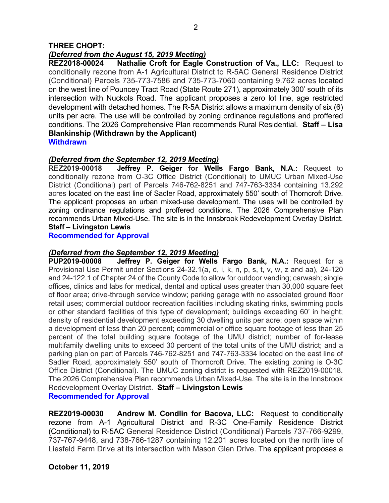#### *(Deferred from the August 15, 2019 Meeting)*

**REZ2018-00024 Nathalie Croft for Eagle Construction of Va., LLC:** Request to conditionally rezone from A-1 Agricultural District to R-5AC General Residence District (Conditional) Parcels 735-773-7586 and 735-773-7060 containing 9.762 acres located on the west line of Pouncey Tract Road (State Route 271), approximately 300' south of its intersection with Nuckols Road. The applicant proposes a zero lot line, age restricted development with detached homes. The R-5A District allows a maximum density of six (6) units per acre. The use will be controlled by zoning ordinance regulations and proffered conditions. The 2026 Comprehensive Plan recommends Rural Residential. **Staff – Lisa Blankinship (Withdrawn by the Applicant)**

**Withdrawn** 

#### *(Deferred from the September 12, 2019 Meeting)*

**REZ2019-00018 Jeffrey P. Geiger for Wells Fargo Bank, N.A.:** Request to conditionally rezone from O-3C Office District (Conditional) to UMUC Urban Mixed-Use District (Conditional) part of Parcels 746-762-8251 and 747-763-3334 containing 13.292 acres located on the east line of Sadler Road, approximately 550' south of Thorncroft Drive. The applicant proposes an urban mixed-use development. The uses will be controlled by zoning ordinance regulations and proffered conditions. The 2026 Comprehensive Plan recommends Urban Mixed-Use. The site is in the Innsbrook Redevelopment Overlay District. **Staff – Livingston Lewis**

**Recommended for Approval**

#### *(Deferred from the September 12, 2019 Meeting)*

**PUP2019-00008 Jeffrey P. Geiger for Wells Fargo Bank, N.A.:** Request for a Provisional Use Permit under Sections 24-32.1(a, d, i, k, n, p, s, t, v, w, z and aa), 24-120 and 24-122.1 of Chapter 24 of the County Code to allow for outdoor vending; carwash; single offices, clinics and labs for medical, dental and optical uses greater than 30,000 square feet of floor area; drive-through service window; parking garage with no associated ground floor retail uses; commercial outdoor recreation facilities including skating rinks, swimming pools or other standard facilities of this type of development; buildings exceeding 60' in height; density of residential development exceeding 30 dwelling units per acre; open space within a development of less than 20 percent; commercial or office square footage of less than 25 percent of the total building square footage of the UMU district; number of for-lease multifamily dwelling units to exceed 30 percent of the total units of the UMU district; and a parking plan on part of Parcels 746-762-8251 and 747-763-3334 located on the east line of Sadler Road, approximately 550' south of Thorncroft Drive. The existing zoning is O-3C Office District (Conditional). The UMUC zoning district is requested with REZ2019-00018. The 2026 Comprehensive Plan recommends Urban Mixed-Use. The site is in the Innsbrook Redevelopment Overlay District. **Staff – Livingston Lewis**

**Recommended for Approval**

**REZ2019-00030 Andrew M. Condlin for Bacova, LLC:** Request to conditionally rezone from A-1 Agricultural District and R-3C One-Family Residence District (Conditional) to R-5AC General Residence District (Conditional) Parcels 737-766-9299, 737-767-9448, and 738-766-1287 containing 12.201 acres located on the north line of Liesfeld Farm Drive at its intersection with Mason Glen Drive. The applicant proposes a